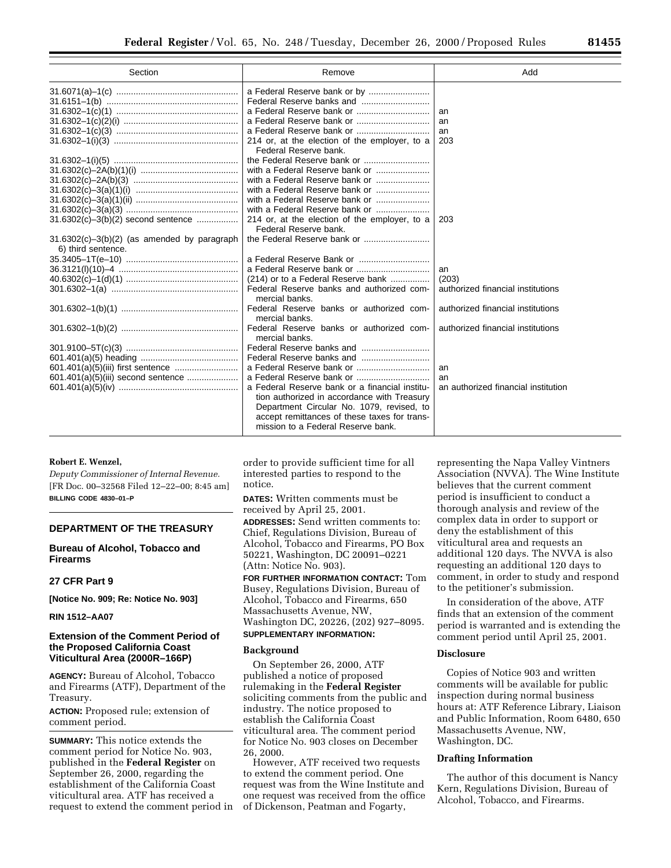| Section                                                               | Remove                                                     | Add                                 |
|-----------------------------------------------------------------------|------------------------------------------------------------|-------------------------------------|
|                                                                       |                                                            |                                     |
|                                                                       |                                                            |                                     |
|                                                                       |                                                            | an                                  |
|                                                                       |                                                            | an                                  |
|                                                                       |                                                            | an                                  |
|                                                                       | 214 or, at the election of the employer, to a              | 203                                 |
|                                                                       | Federal Reserve bank.                                      |                                     |
|                                                                       |                                                            |                                     |
|                                                                       | with a Federal Reserve bank or                             |                                     |
|                                                                       |                                                            |                                     |
|                                                                       |                                                            |                                     |
|                                                                       | with a Federal Reserve bank or                             |                                     |
|                                                                       | with a Federal Reserve bank or                             |                                     |
| 31.6302(c)-3(b)(2) second sentence                                    | 214 or, at the election of the employer, to a              | 203                                 |
|                                                                       | Federal Reserve bank.                                      |                                     |
| $31.6302(c) - 3(b)(2)$ (as amended by paragraph<br>6) third sentence. | the Federal Reserve bank or                                |                                     |
|                                                                       |                                                            |                                     |
|                                                                       |                                                            | an                                  |
|                                                                       | (214) or to a Federal Reserve bank                         | (203)                               |
|                                                                       | Federal Reserve banks and authorized com-                  | authorized financial institutions   |
|                                                                       | mercial banks.                                             |                                     |
|                                                                       | Federal Reserve banks or authorized com-<br>mercial banks. | authorized financial institutions   |
|                                                                       | Federal Reserve banks or authorized com-                   | authorized financial institutions   |
|                                                                       | mercial banks.                                             |                                     |
|                                                                       |                                                            |                                     |
|                                                                       |                                                            |                                     |
| 601.401(a)(5)(iii) first sentence                                     |                                                            | an                                  |
| 601.401(a)(5)(iii) second sentence                                    |                                                            | an                                  |
|                                                                       | a Federal Reserve bank or a financial institu-             | an authorized financial institution |
|                                                                       | tion authorized in accordance with Treasury                |                                     |
|                                                                       | Department Circular No. 1079, revised, to                  |                                     |
|                                                                       | accept remittances of these taxes for trans-               |                                     |
|                                                                       | mission to a Federal Reserve bank.                         |                                     |

# **Robert E. Wenzel,**

*Deputy Commissioner of Internal Revenue.* [FR Doc. 00–32568 Filed 12–22–00; 8:45 am] **BILLING CODE 4830–01–P**

#### **DEPARTMENT OF THE TREASURY**

# **Bureau of Alcohol, Tobacco and Firearms**

#### **27 CFR Part 9**

**[Notice No. 909; Re: Notice No. 903]**

## **RIN 1512–AA07**

## **Extension of the Comment Period of the Proposed California Coast Viticultural Area (2000R–166P)**

**AGENCY:** Bureau of Alcohol, Tobacco and Firearms (ATF), Department of the Treasury.

**ACTION:** Proposed rule; extension of comment period.

**SUMMARY:** This notice extends the comment period for Notice No. 903, published in the **Federal Register** on September 26, 2000, regarding the establishment of the California Coast viticultural area. ATF has received a request to extend the comment period in

order to provide sufficient time for all interested parties to respond to the notice.

**DATES:** Written comments must be received by April 25, 2001.

**ADDRESSES:** Send written comments to: Chief, Regulations Division, Bureau of Alcohol, Tobacco and Firearms, PO Box 50221, Washington, DC 20091–0221 (Attn: Notice No. 903).

**FOR FURTHER INFORMATION CONTACT:** Tom Busey, Regulations Division, Bureau of Alcohol, Tobacco and Firearms, 650 Massachusetts Avenue, NW, Washington DC, 20226, (202) 927–8095. **SUPPLEMENTARY INFORMATION:**

## **Background**

On September 26, 2000, ATF published a notice of proposed rulemaking in the **Federal Register** soliciting comments from the public and industry. The notice proposed to establish the California Coast viticultural area. The comment period for Notice No. 903 closes on December 26, 2000.

However, ATF received two requests to extend the comment period. One request was from the Wine Institute and one request was received from the office of Dickenson, Peatman and Fogarty,

representing the Napa Valley Vintners Association (NVVA). The Wine Institute believes that the current comment period is insufficient to conduct a thorough analysis and review of the complex data in order to support or deny the establishment of this viticultural area and requests an additional 120 days. The NVVA is also requesting an additional 120 days to comment, in order to study and respond to the petitioner's submission.

In consideration of the above, ATF finds that an extension of the comment period is warranted and is extending the comment period until April 25, 2001.

## **Disclosure**

Copies of Notice 903 and written comments will be available for public inspection during normal business hours at: ATF Reference Library, Liaison and Public Information, Room 6480, 650 Massachusetts Avenue, NW, Washington, DC.

#### **Drafting Information**

The author of this document is Nancy Kern, Regulations Division, Bureau of Alcohol, Tobacco, and Firearms.